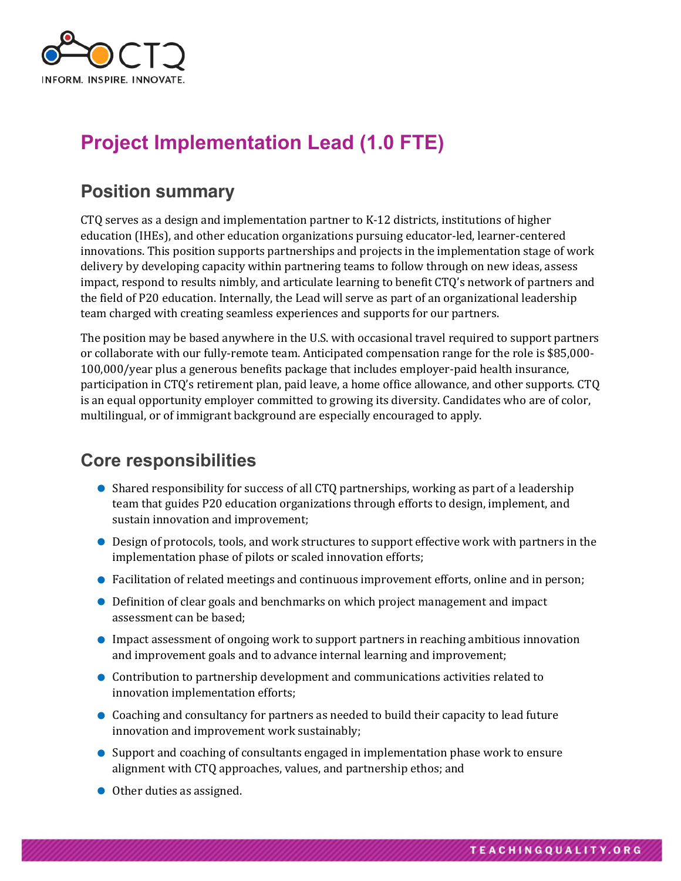

# **Project Implementation Lead (1.0 FTE)**

#### **Position summary**

CTQ serves as a design and implementation partner to K-12 districts, institutions of higher education (IHEs), and other education organizations pursuing educator-led, learner-centered innovations. This position supports partnerships and projects in the implementation stage of work delivery by developing capacity within partnering teams to follow through on new ideas, assess impact, respond to results nimbly, and articulate learning to benefit CTO's network of partners and the field of P20 education. Internally, the Lead will serve as part of an organizational leadership team charged with creating seamless experiences and supports for our partners.

The position may be based anywhere in the U.S. with occasional travel required to support partners or collaborate with our fully-remote team. Anticipated compensation range for the role is \$85,000-100,000/year plus a generous benefits package that includes employer-paid health insurance, participation in CTQ's retirement plan, paid leave, a home office allowance, and other supports. CTQ is an equal opportunity employer committed to growing its diversity. Candidates who are of color, multilingual, or of immigrant background are especially encouraged to apply.

## **Core responsibilities**

- Shared responsibility for success of all CTQ partnerships, working as part of a leadership team that guides P20 education organizations through efforts to design, implement, and sustain innovation and improvement;
- Design of protocols, tools, and work structures to support effective work with partners in the implementation phase of pilots or scaled innovation efforts;
- Facilitation of related meetings and continuous improvement efforts, online and in person;
- Definition of clear goals and benchmarks on which project management and impact assessment can be based:
- Impact assessment of ongoing work to support partners in reaching ambitious innovation and improvement goals and to advance internal learning and improvement;
- Contribution to partnership development and communications activities related to innovation implementation efforts;
- Coaching and consultancy for partners as needed to build their capacity to lead future innovation and improvement work sustainably;
- Support and coaching of consultants engaged in implementation phase work to ensure alignment with CTQ approaches, values, and partnership ethos; and
- $\bullet$  Other duties as assigned.